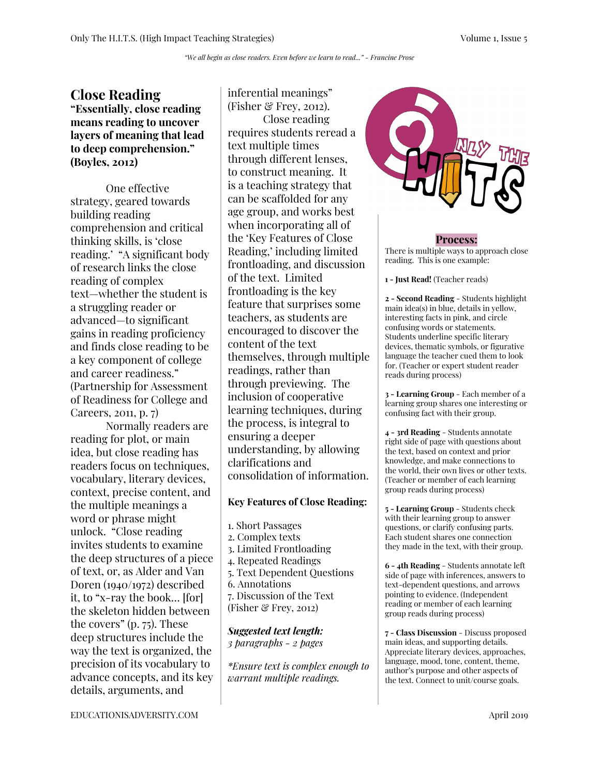## **Close Reading "Essentially, close reading means reading to uncover layers of meaning that lead to deep comprehension." (Boyles, 2012)**

One effective strategy, geared towards building reading comprehension and critical thinking skills, is 'close reading.' "A significant body of research links the close reading of complex text—whether the student is a struggling reader or advanced—to significant gains in reading proficiency and finds close reading to be a key component of college and career readiness." (Partnership for Assessment of Readiness for College and Careers, 2011, p. 7)

Normally readers are reading for plot, or main idea, but close reading has readers focus on techniques, vocabulary, literary devices, context, precise content, and the multiple meanings a word or phrase might unlock. "Close reading invites students to examine the deep structures of a piece of text, or, as Alder and Van Doren (1940/1972) described it, to "x-ray the book… [for] the skeleton hidden between the covers" (p. 75). These deep structures include the way the text is organized, the precision of its vocabulary to advance concepts, and its key details, arguments, and

inferential meanings" (Fisher  $\mathcal{C}$  Frey, 2012). Close reading requires students reread a text multiple times through different lenses, to construct meaning. It is a teaching strategy that can be scaffolded for any age group, and works best when incorporating all of the 'Key Features of Close Reading,' including limited frontloading, and discussion of the text. Limited frontloading is the key feature that surprises some teachers, as students are encouraged to discover the content of the text themselves, through multiple readings, rather than through previewing. The inclusion of cooperative learning techniques, during the process, is integral to ensuring a deeper understanding, by allowing clarifications and consolidation of information.

### **Key Features of Close Reading:**

1. Short Passages 2. Complex texts 3. Limited Frontloading 4. Repeated Readings 5. Text Dependent Questions 6. Annotations 7. Discussion of the Text (Fisher & Frey, 2012)

#### *Suggested text length: 3 paragraphs - 2 pages*

*\*Ensure text is complex enough to warrant multiple readings.*



#### **Process:**

There is multiple ways to approach close reading. This is one example:

**1 - Just Read!** (Teacher reads)

**2 - Second Reading** - Students highlight main idea(s) in blue, details in yellow, interesting facts in pink, and circle confusing words or statements. Students underline specific literary devices, thematic symbols, or figurative language the teacher cued them to look for. (Teacher or expert student reader reads during process)

**3 - Learning Group** - Each member of a learning group shares one interesting or confusing fact with their group.

**4 - 3rd Reading** - Students annotate right side of page with questions about the text, based on context and prior knowledge, and make connections to the world, their own lives or other texts. (Teacher or member of each learning group reads during process)

**5 - Learning Group** - Students check with their learning group to answer questions, or clarify confusing parts. Each student shares one connection they made in the text, with their group.

**6 - 4th Reading** - Students annotate left side of page with inferences, answers to text-dependent questions, and arrows pointing to evidence. (Independent reading or member of each learning group reads during process)

**7 - Class Discussion** - Discuss proposed main ideas, and supporting details. Appreciate literary devices, approaches, language, mood, tone, content, theme, author's purpose and other aspects of the text. Connect to unit/course goals.